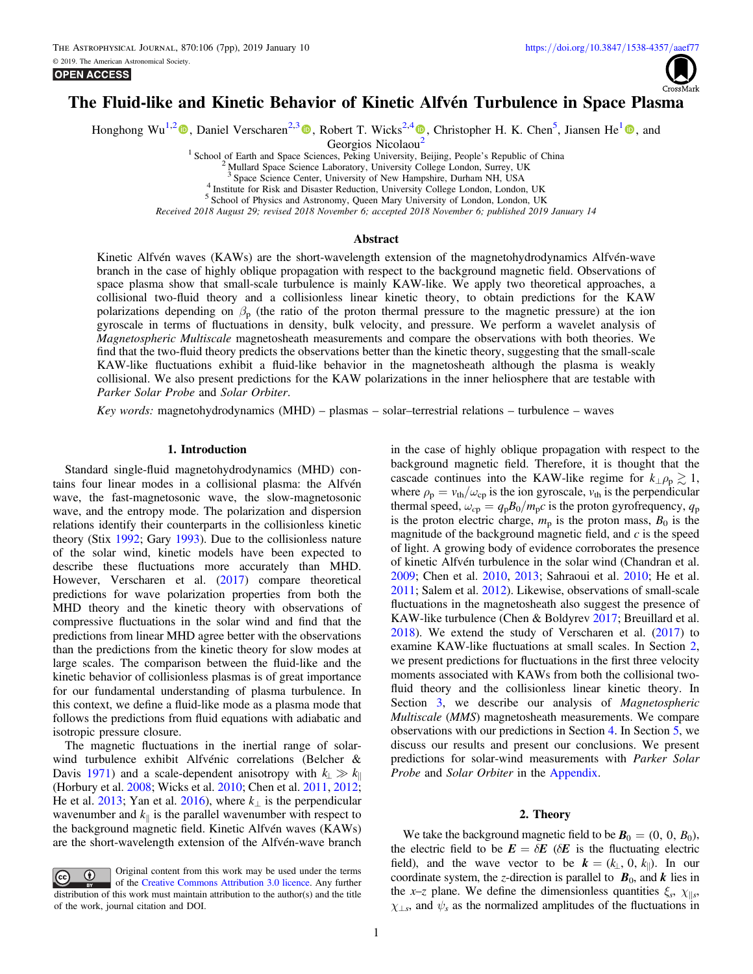<span id="page-0-0"></span>**OPEN ACCESS** 



# The Fluid-like and Kinetic Behavior of Kinetic Alfvén Turbulence in Space Plasma

Honghong Wu<sup>1,[2](https://orcid.org/0000-0003-0424-9228)</sup> (D), Daniel Verscharen<sup>2,[3](https://orcid.org/0000-0002-0497-1096)</sup> (D), Robert T. Wicks<sup>2,[4](https://orcid.org/0000-0002-0622-5302)</sup> (D)[,](https://orcid.org/0000-0002-0622-5302) Christopher H. K. Chen<sup>5</sup>, Jiansen He<sup>[1](https://orcid.org/0000-0001-8179-417X)</sup> (D), and

Georgios Nicolaou<sup>[2](https://orcid.org/0000-0002-0622-5302)</sup>

<sup>1</sup> School of Earth and Space Sciences, Peking University, Beijing, People's Republic of China <sup>2</sup> Mullard Space Science Laboratory, University College London, Surrey, UK <sup>3</sup> Space Science Center, University of New Hampshi

4<br>Institute for Risk and Disaster Reduction, University College London, London, UK<br>5<br>School of Physics and Astronomy, Queen Mary University of London, London, UK

Received 2018 August 29; revised 2018 November 6; accepted 2018 November 6; published 2019 January 14

#### Abstract

Kinetic Alfvén waves (KAWs) are the short-wavelength extension of the magnetohydrodynamics Alfvén-wave branch in the case of highly oblique propagation with respect to the background magnetic field. Observations of space plasma show that small-scale turbulence is mainly KAW-like. We apply two theoretical approaches, a collisional two-fluid theory and a collisionless linear kinetic theory, to obtain predictions for the KAW polarizations depending on  $\beta_p$  (the ratio of the proton thermal pressure to the magnetic pressure) at the ion gyroscale in terms of fluctuations in density, bulk velocity, and pressure. We perform a wavelet analysis of Magnetospheric Multiscale magnetosheath measurements and compare the observations with both theories. We find that the two-fluid theory predicts the observations better than the kinetic theory, suggesting that the small-scale KAW-like fluctuations exhibit a fluid-like behavior in the magnetosheath although the plasma is weakly collisional. We also present predictions for the KAW polarizations in the inner heliosphere that are testable with Parker Solar Probe and Solar Orbiter.

Key words: magnetohydrodynamics (MHD) – plasmas – solar–terrestrial relations – turbulence – waves

#### 1. Introduction

Standard single-fluid magnetohydrodynamics (MHD) contains four linear modes in a collisional plasma: the Alfvén wave, the fast-magnetosonic wave, the slow-magnetosonic wave, and the entropy mode. The polarization and dispersion relations identify their counterparts in the collisionless kinetic theory (Stix [1992;](#page-6-0) Gary [1993](#page-6-0)). Due to the collisionless nature of the solar wind, kinetic models have been expected to describe these fluctuations more accurately than MHD. However, Verscharen et al. ([2017](#page-6-0)) compare theoretical predictions for wave polarization properties from both the MHD theory and the kinetic theory with observations of compressive fluctuations in the solar wind and find that the predictions from linear MHD agree better with the observations than the predictions from the kinetic theory for slow modes at large scales. The comparison between the fluid-like and the kinetic behavior of collisionless plasmas is of great importance for our fundamental understanding of plasma turbulence. In this context, we define a fluid-like mode as a plasma mode that follows the predictions from fluid equations with adiabatic and isotropic pressure closure.

The magnetic fluctuations in the inertial range of solarwind turbulence exhibit Alfvénic correlations (Belcher & Davis [1971](#page-6-0)) and a scale-dependent anisotropy with  $k_{\perp} \gg k_{\parallel}$ (Horbury et al. [2008](#page-6-0); Wicks et al. [2010](#page-6-0); Chen et al. [2011,](#page-6-0) [2012](#page-6-0); He et al. [2013;](#page-6-0) Yan et al. [2016](#page-6-0)), where  $k_{\perp}$  is the perpendicular wavenumber and  $k_{\parallel}$  is the parallel wavenumber with respect to the background magnetic field. Kinetic Alfvén waves (KAWs) are the short-wavelength extension of the Alfvén-wave branch

Original content from this work may be used under the terms  $\left(\mathrm{cc}\right)$ of the [Creative Commons Attribution 3.0 licence.](http://creativecommons.org/licenses/by/3.0/) Any further distribution of this work must maintain attribution to the author(s) and the title of the work, journal citation and DOI.

in the case of highly oblique propagation with respect to the background magnetic field. Therefore, it is thought that the cascade continues into the KAW-like regime for  $k_{\perp} \rho_p \gtrsim 1$ , where  $\rho_p = v_{th}/\omega_{cp}$  is the ion gyroscale,  $v_{th}$  is the perpendicular thermal speed,  $\omega_{cp} = q_p B_0 / m_p c$  is the proton gyrofrequency,  $q_p$ is the proton electric charge,  $m_p$  is the proton mass,  $B_0$  is the magnitude of the background magnetic field, and  $c$  is the speed of light. A growing body of evidence corroborates the presence of kinetic Alfvén turbulence in the solar wind (Chandran et al. [2009;](#page-6-0) Chen et al. [2010](#page-6-0), [2013;](#page-6-0) Sahraoui et al. [2010](#page-6-0); He et al. [2011;](#page-6-0) Salem et al. [2012](#page-6-0)). Likewise, observations of small-scale fluctuations in the magnetosheath also suggest the presence of KAW-like turbulence (Chen & Boldyrev [2017](#page-6-0); Breuillard et al. [2018](#page-6-0)). We extend the study of Verscharen et al. ([2017](#page-6-0)) to examine KAW-like fluctuations at small scales. In Section 2, we present predictions for fluctuations in the first three velocity moments associated with KAWs from both the collisional twofluid theory and the collisionless linear kinetic theory. In Section [3,](#page-2-0) we describe our analysis of *Magnetospheric* Multiscale (MMS) magnetosheath measurements. We compare observations with our predictions in Section [4.](#page-3-0) In Section [5](#page-4-0), we discuss our results and present our conclusions. We present predictions for solar-wind measurements with Parker Solar Probe and Solar Orbiter in the [Appendix](#page-5-0).

# 2. Theory

We take the background magnetic field to be  $\mathbf{B}_0 = (0, 0, B_0)$ , the electric field to be  $E = \delta E$  ( $\delta E$  is the fluctuating electric field), and the wave vector to be  $k = (k_{\perp}, 0, k_{\parallel})$ . In our coordinate system, the z-direction is parallel to  $B_0$ , and  $k$  lies in the x–z plane. We define the dimensionless quantities  $\xi_s$ ,  $\chi_{\parallel s}$ ,  $\chi_{\perp s}$ , and  $\psi_s$  as the normalized amplitudes of the fluctuations in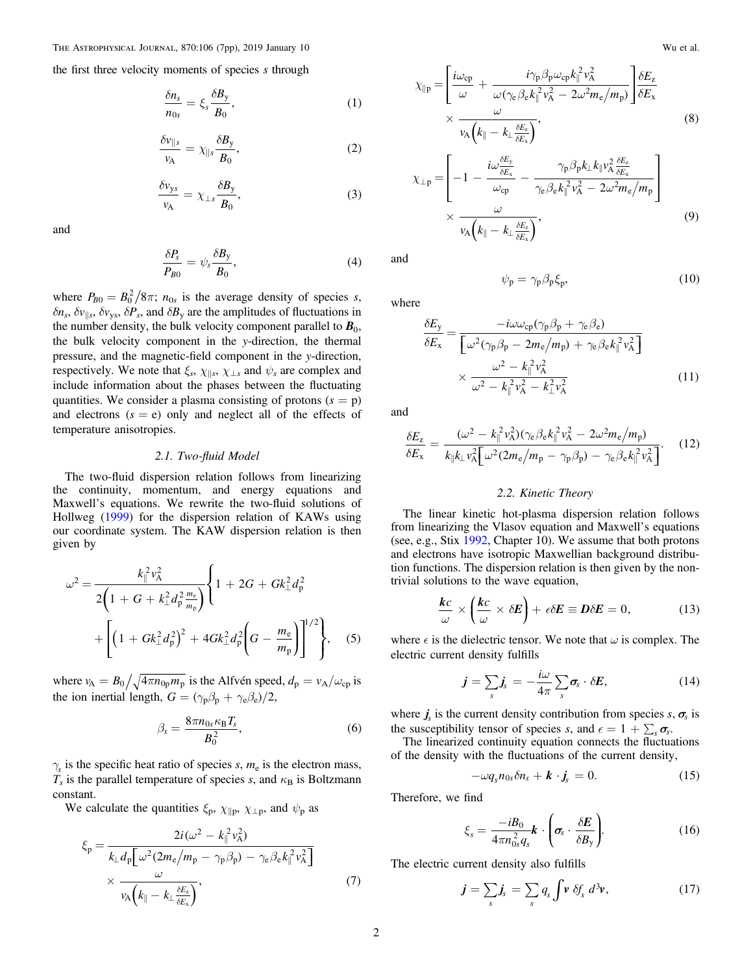the first three velocity moments of species s through

$$
\frac{\delta n_s}{n_{0s}} = \xi_s \frac{\delta B_y}{B_0},\tag{1}
$$

$$
\frac{\delta v_{\parallel s}}{v_{\text{A}}} = \chi_{\parallel s} \frac{\delta B_{\text{y}}}{B_0},\tag{2}
$$

$$
\frac{\delta v_{ys}}{v_A} = \chi_{\perp s} \frac{\delta B_y}{B_0},\tag{3}
$$

and

$$
\frac{\delta P_s}{P_{B0}} = \psi_s \frac{\delta B_y}{B_0},\tag{4}
$$

where  $P_{B0} = B_0^2 / 8\pi$ ;  $n_{0s}$  is the average density of species s,  $\delta n_s$ ,  $\delta v_{\parallel s}$ ,  $\delta v_{\parallel s}$ ,  $\delta P_s$ , and  $\delta B_v$  are the amplitudes of fluctuations in the number density, the bulk velocity component parallel to  $\mathbf{B}_0$ , the bulk velocity component in the y-direction, the thermal pressure, and the magnetic-field component in the y-direction, respectively. We note that  $\xi_s$ ,  $\chi_{\parallel s}$ ,  $\chi_{\perp s}$  and  $\psi_s$  are complex and include information about the phases between the fluctuating quantities. We consider a plasma consisting of protons  $(s = p)$ and electrons  $(s = e)$  only and neglect all of the effects of temperature anisotropies.

#### 2.1. Two-fluid Model

The two-fluid dispersion relation follows from linearizing the continuity, momentum, and energy equations and Maxwell's equations. We rewrite the two-fluid solutions of Hollweg ([1999](#page-6-0)) for the dispersion relation of KAWs using our coordinate system. The KAW dispersion relation is then given by

$$
\omega^2 = \frac{k_{\parallel}^2 v_{\rm A}^2}{2\left(1 + G + k_{\perp}^2 d_{\rm p}^2 \frac{m_{\rm e}}{m_{\rm p}}\right)} \left\{ 1 + 2G + G k_{\perp}^2 d_{\rm p}^2 + \left[ \left(1 + G k_{\perp}^2 d_{\rm p}^2\right)^2 + 4G k_{\perp}^2 d_{\rm p}^2 \left(G - \frac{m_{\rm e}}{m_{\rm p}}\right) \right]^{1/2} \right\}, \quad (5)
$$

where  $v_A = B_0 / \sqrt{4 \pi n_{0p} m_p}$  is the Alfvén speed,  $d_p = v_A / \omega_{cp}$  is the ion inertial length,  $G = (\gamma_{p}\beta_{p} + \gamma_{e}\beta_{e})/2$ ,

$$
\beta_s = \frac{8\pi n_{0s}\kappa_B T_s}{B_0^2},\tag{6}
$$

 $\gamma$ <sub>s</sub> is the specific heat ratio of species s,  $m_e$  is the electron mass,  $T_s$  is the parallel temperature of species s, and  $\kappa_B$  is Boltzmann constant.

We calculate the quantities  $\xi_{p}$ ,  $\chi_{\parallel p}$ ,  $\chi_{\perp p}$ , and  $\psi_{p}$  as

$$
\xi_{\rm p} = \frac{2i(\omega^2 - k_{\parallel}^2 v_{\rm A}^2)}{k_{\perp} d_{\rm p} \left[\omega^2 (2m_{\rm e}/m_{\rm p} - \gamma_{\rm p}\beta_{\rm p}) - \gamma_{\rm e}\beta_{\rm e}k_{\parallel}^2 v_{\rm A}^2\right]} \times \frac{\omega}{v_{\rm A}\left(k_{\parallel} - k_{\perp}\frac{\delta E_z}{\delta E_x}\right)},\tag{7}
$$

$$
\chi_{\parallel p} = \left[ \frac{i\omega_{cp}}{\omega} + \frac{i\gamma_p \beta_p \omega_{cp} k_{\parallel}^2 v_{A}^2}{\omega(\gamma_e \beta_e k_{\parallel}^2 v_{A}^2 - 2\omega^2 m_e / m_p)} \right] \frac{\delta E_z}{\delta E_x}
$$
\n
$$
\times \frac{\omega}{v_{A} (k_{\parallel} - k_{\perp} \frac{\delta E_z}{\delta E_x})},
$$
\n(8)

$$
\chi_{\perp p} = \left[ -1 - \frac{i\omega \frac{\delta E_y}{\delta E_x}}{\omega_{cp}} - \frac{\gamma_p \beta_p k_{\perp} k_{\parallel} v_A^2 \frac{\delta E_z}{\delta E_x}}{\gamma_e \beta_e k_{\parallel}^2 v_A^2 - 2\omega^2 m_e / m_p} \right] \times \frac{\omega}{v_A \left( k_{\parallel} - k_{\perp} \frac{\delta E_z}{\delta E_x} \right)},
$$
\n(9)

and

where

$$
\psi_{\mathbf{p}} = \gamma_{\mathbf{p}} \beta_{\mathbf{p}} \xi_{\mathbf{p}},\tag{10}
$$

$$
\frac{\delta E_{y}}{\delta E_{x}} = \frac{-i\omega\omega_{cp}(\gamma_{p}\beta_{p} + \gamma_{e}\beta_{e})}{\left[\omega^{2}(\gamma_{p}\beta_{p} - 2m_{e}/m_{p}) + \gamma_{e}\beta_{e}k_{\parallel}^{2}v_{A}^{2}\right]}
$$

$$
\times \frac{\omega^{2} - k_{\parallel}^{2}v_{A}^{2}}{\omega^{2} - k_{\parallel}^{2}v_{A}^{2} - k_{\perp}^{2}v_{A}^{2}}
$$
(11)

and

$$
\frac{\delta E_z}{\delta E_x} = \frac{(\omega^2 - k_{\parallel}^2 v_{\rm A}^2)(\gamma_{\rm e}\beta_{\rm e}k_{\parallel}^2 v_{\rm A}^2 - 2\omega^2 m_{\rm e}/m_{\rm p})}{k_{\parallel}k_{\perp}v_{\rm A}^2[\omega^2(2m_{\rm e}/m_{\rm p} - \gamma_{\rm p}\beta_{\rm p}) - \gamma_{\rm e}\beta_{\rm e}k_{\parallel}^2 v_{\rm A}^2]}.
$$
(12)

# 2.2. Kinetic Theory

The linear kinetic hot-plasma dispersion relation follows from linearizing the Vlasov equation and Maxwell's equations (see, e.g., Stix [1992,](#page-6-0) Chapter 10). We assume that both protons and electrons have isotropic Maxwellian background distribution functions. The dispersion relation is then given by the nontrivial solutions to the wave equation,

$$
\frac{kc}{\omega} \times \left(\frac{kc}{\omega} \times \delta E\right) + \epsilon \delta E \equiv D\delta E = 0, \tag{13}
$$

where  $\epsilon$  is the dielectric tensor. We note that  $\omega$  is complex. The electric current density fulfills

$$
\boldsymbol{j} = \sum_{s} \boldsymbol{j}_{s} = -\frac{i\omega}{4\pi} \sum_{s} \boldsymbol{\sigma}_{s} \cdot \delta \boldsymbol{E}, \qquad (14)
$$

where  $j_s$  is the current density contribution from species  $s, \sigma_s$  is the susceptibility tensor of species *s*, and  $\epsilon = 1 + \sum_{s} \sigma_{s}$ .

The linearized continuity equation connects the fluctuations of the density with the fluctuations of the current density,

$$
-\omega q_s n_{0s}\delta n_s + \boldsymbol{k} \cdot \boldsymbol{j}_s = 0. \qquad (15)
$$

Therefore, we find

$$
\xi_s = \frac{-iB_0}{4\pi n_{0s}^2 q_s} \mathbf{k} \cdot \left(\boldsymbol{\sigma}_s \cdot \frac{\delta \mathbf{E}}{\delta B_y}\right). \tag{16}
$$

The electric current density also fulfills

$$
\boldsymbol{j} = \sum_{s} \boldsymbol{j}_{s} = \sum_{s} q_{s} \int \boldsymbol{v} \ \delta f_{s} \ d^{3} \boldsymbol{v}, \qquad (17)
$$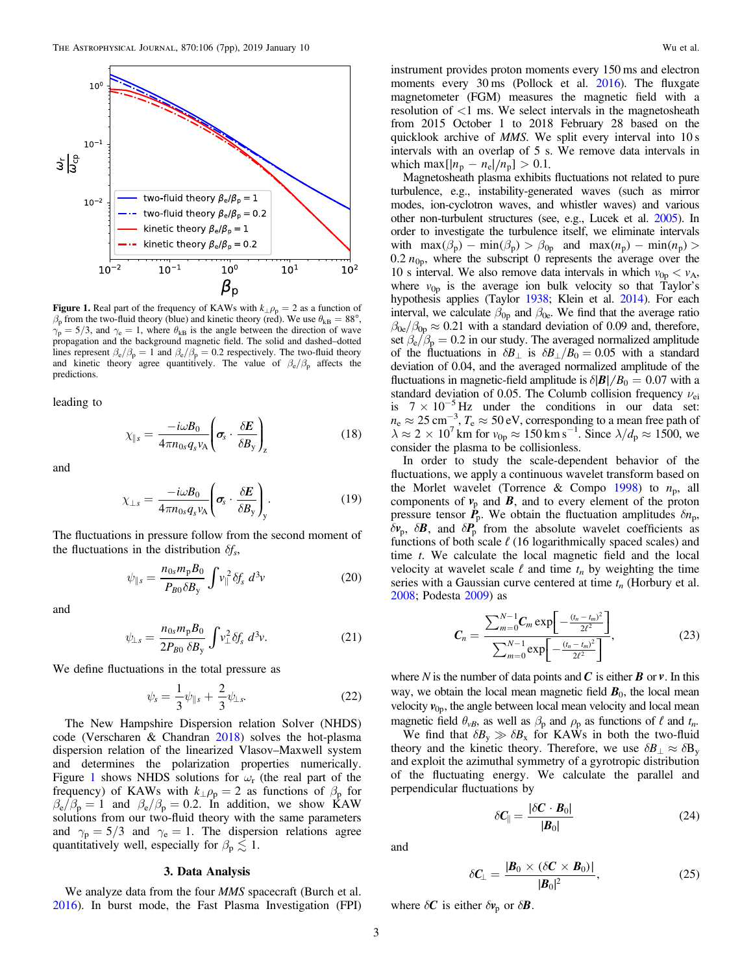<span id="page-2-0"></span>

Figure 1. Real part of the frequency of KAWs with  $k_{\perp} \rho_p = 2$  as a function of  $\beta_{\rm p}$  from the two-fluid theory (blue) and kinetic theory (red). We use  $\theta_{\rm kB} = 88^{\circ}$ ,  $\gamma_{\rm p} = 5/3$ , and  $\gamma_{\rm e} = 1$ , where  $\theta_{\rm kB}$  is the angle between the direction of wave propagation and the background magnetic field. The solid and dashed–dotted lines represent  $\beta_e/\beta_p = 1$  and  $\beta_e/\beta_p = 0.2$  respectively. The two-fluid theory and kinetic theory agree quantitively. The value of  $\beta_e/\beta_p$  affects the predictions.

leading to

$$
\chi_{\parallel s} = \frac{-i\omega B_0}{4\pi n_{0s} q_s v_{\rm A}} \left( \sigma_s \cdot \frac{\delta E}{\delta B_y} \right)_z \tag{18}
$$

and

$$
\chi_{\perp s} = \frac{-i\omega B_0}{4\pi n_{0s} q_s v_{\mathcal{A}}} \left( \sigma_s \cdot \frac{\delta E}{\delta B_y} \right)_y.
$$
 (19)

The fluctuations in pressure follow from the second moment of the fluctuations in the distribution  $\delta f_s$ ,

$$
\psi_{\parallel s} = \frac{n_{0s} m_{\rm p} B_0}{P_{B0} \delta B_{\rm y}} \int v_{\parallel}^2 \delta f_s \ d^3 v \tag{20}
$$

and

$$
\psi_{\perp s} = \frac{n_{0s} m_{\text{p}} B_0}{2P_{B0} \delta B_{\text{y}}} \int v_{\perp}^2 \delta f_s \ d^3 v. \tag{21}
$$

We define fluctuations in the total pressure as

$$
\psi_s = \frac{1}{3}\psi_{\|s} + \frac{2}{3}\psi_{\perp s}.
$$
 (22)

The New Hampshire Dispersion relation Solver (NHDS) code (Verscharen & Chandran [2018](#page-6-0)) solves the hot-plasma dispersion relation of the linearized Vlasov–Maxwell system and determines the polarization properties numerically. Figure 1 shows NHDS solutions for  $\omega_r$  (the real part of the frequency) of KAWs with  $k_{\perp}\rho_p = 2$  as functions of  $\beta_p$  for  $\beta_e/\beta_p = 1$  and  $\beta_e/\beta_p = 0.2$ . In addition, we show KAW solutions from our two-fluid theory with the same parameters and  $\gamma_p = 5/3$  and  $\gamma_e = 1$ . The dispersion relations agree quantitatively well, especially for  $\beta_p \lesssim 1$ .

## 3. Data Analysis

We analyze data from the four *MMS* spacecraft (Burch et al. [2016](#page-6-0)). In burst mode, the Fast Plasma Investigation (FPI)

instrument provides proton moments every 150 ms and electron moments every 30 ms (Pollock et al. [2016](#page-6-0)). The fluxgate magnetometer (FGM) measures the magnetic field with a resolution of <1 ms. We select intervals in the magnetosheath from 2015 October 1 to 2018 February 28 based on the quicklook archive of MMS. We split every interval into 10 s intervals with an overlap of 5 s. We remove data intervals in which max  $[|n_{p} - n_{e}|/n_{p}] > 0.1$ .

Magnetosheath plasma exhibits fluctuations not related to pure turbulence, e.g., instability-generated waves (such as mirror modes, ion-cyclotron waves, and whistler waves) and various other non-turbulent structures (see, e.g., Lucek et al. [2005](#page-6-0)). In order to investigate the turbulence itself, we eliminate intervals with  $\max(\beta_p) - \min(\beta_p) > \beta_{0p}$  and  $\max(n_p) - \min(n_p) >$ 0.2  $n_{0p}$ , where the subscript 0 represents the average over the 10 s interval. We also remove data intervals in which  $v_{0p} < v_A$ , where  $v_{0p}$  is the average ion bulk velocity so that Taylor's hypothesis applies (Taylor [1938](#page-6-0); Klein et al. [2014](#page-6-0)). For each interval, we calculate  $\beta_{0p}$  and  $\beta_{0e}$ . We find that the average ratio  $\beta_{0e}/\beta_{0p} \approx 0.21$  with a standard deviation of 0.09 and, therefore, set  $\beta_e/\beta_p = 0.2$  in our study. The averaged normalized amplitude of the fluctuations in  $\delta B_{\perp}$  is  $\delta B_{\perp}/B_0 = 0.05$  with a standard deviation of 0.04, and the averaged normalized amplitude of the fluctuations in magnetic-field amplitude is  $\delta$ | $\mathbf{B}$ | $/B_0 = 0.07$  with a standard deviation of 0.05. The Columb collision frequency  $\nu_{ei}$ is  $7 \times 10^{-5}$  Hz under the conditions in our data set:  $n_e \approx 25 \text{ cm}^{-3}$ ,  $T_e \approx 50 \text{ eV}$ , corresponding to a mean free path of  $\lambda \approx 2 \times 10^7$  km for  $v_{0p} \approx 150$  km s<sup>-1</sup>. Since  $\lambda/d_p \approx 1500$ , we consider the plasma to be collisionless.

In order to study the scale-dependent behavior of the fluctuations, we apply a continuous wavelet transform based on the Morlet wavelet (Torrence & Compo [1998](#page-6-0)) to  $n_p$ , all components of  $v_p$  and  $B$ , and to every element of the proton pressure tensor  $\dot{P}_{p}$ . We obtain the fluctuation amplitudes  $\delta n_{p}$ ,  $\delta v_p$ ,  $\delta B$ , and  $\delta P_p$  from the absolute wavelet coefficients as functions of both scale  $\ell$  (16 logarithmically spaced scales) and time  $t$ . We calculate the local magnetic field and the local velocity at wavelet scale  $\ell$  and time  $t_n$  by weighting the time series with a Gaussian curve centered at time  $t_n$  (Horbury et al. [2008;](#page-6-0) Podesta [2009](#page-6-0)) as

$$
C_n = \frac{\sum_{m=0}^{N-1} C_m \exp\left[-\frac{(t_n - t_m)^2}{2\ell^2}\right]}{\sum_{m=0}^{N-1} \exp\left[-\frac{(t_n - t_m)^2}{2\ell^2}\right]},
$$
(23)

where N is the number of data points and  $C$  is either  $B$  or  $\nu$ . In this way, we obtain the local mean magnetic field  $\mathbf{B}_0$ , the local mean velocity  $v_{0p}$ , the angle between local mean velocity and local mean magnetic field  $\theta_{vB}$ , as well as  $\beta_p$  and  $\rho_p$  as functions of  $\ell$  and  $t_n$ .

We find that  $\delta B_y \gg \delta B_x$  for KAWs in both the two-fluid theory and the kinetic theory. Therefore, we use  $\delta B_{\perp} \approx \delta B_{v}$ and exploit the azimuthal symmetry of a gyrotropic distribution of the fluctuating energy. We calculate the parallel and perpendicular fluctuations by

$$
\delta \mathbf{C}_{\parallel} = \frac{|\delta \mathbf{C} \cdot \mathbf{B}_0|}{|\mathbf{B}_0|} \tag{24}
$$

and

$$
\delta C_{\perp} = \frac{|\boldsymbol{B}_0 \times (\delta \boldsymbol{C} \times \boldsymbol{B}_0)|}{|\boldsymbol{B}_0|^2},\tag{25}
$$

where  $\delta C$  is either  $\delta v_p$  or  $\delta B$ .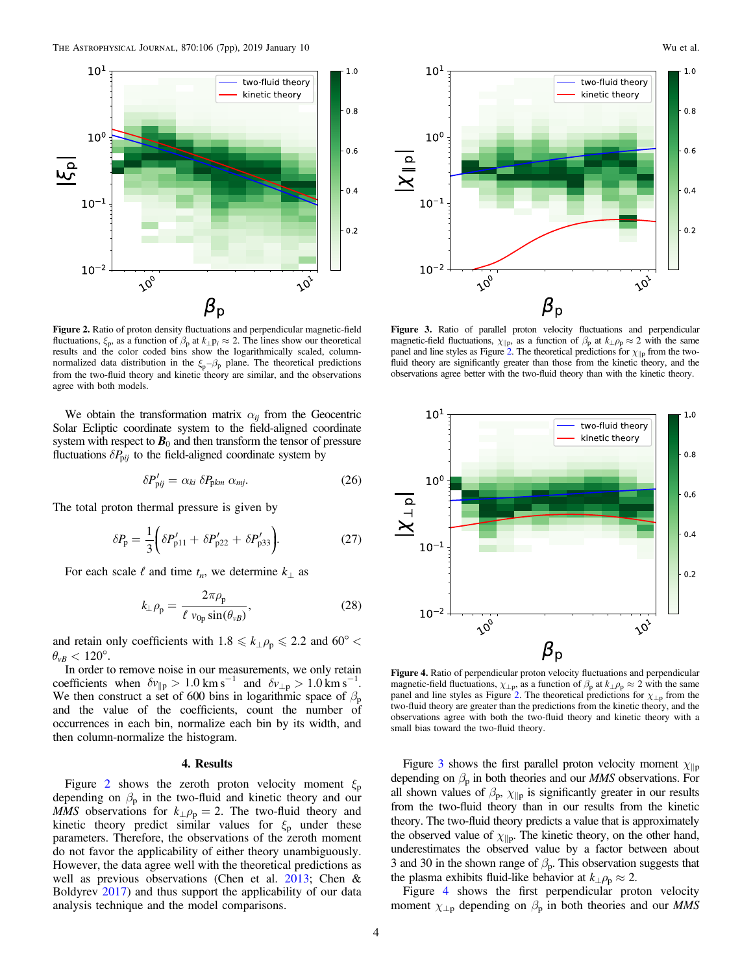<span id="page-3-0"></span>

Figure 2. Ratio of proton density fluctuations and perpendicular magnetic-field fluctuations,  $\xi_p$ , as a function of  $\beta_p$  at  $k_{\perp}p_i \approx 2$ . The lines show our theoretical results and the color coded bins show the logarithmically scaled, columnnormalized data distribution in the  $\xi_p - \beta_p$  plane. The theoretical predictions from the two-fluid theory and kinetic theory are similar, and the observations agree with both models.

We obtain the transformation matrix  $\alpha_{ij}$  from the Geocentric Solar Ecliptic coordinate system to the field-aligned coordinate system with respect to  $B_0$  and then transform the tensor of pressure fluctuations  $\delta P_{\text{p}ij}$  to the field-aligned coordinate system by

$$
\delta P'_{\text{pij}} = \alpha_{ki} \ \delta P_{\text{pkm}} \ \alpha_{mj}.
$$

The total proton thermal pressure is given by

$$
\delta P_{\rm p} = \frac{1}{3} \bigg( \delta P_{\rm p11}' + \delta P_{\rm p22}' + \delta P_{\rm p33}' \bigg). \tag{27}
$$

For each scale  $\ell$  and time  $t_n$ , we determine  $k_\perp$  as

$$
k_{\perp} \rho_{\rm p} = \frac{2\pi \rho_{\rm p}}{\ell \ v_{0\rm p} \sin(\theta_{\nu B})},\tag{28}
$$

and retain only coefficients with  $1.8 \le k_{\perp} \rho_p \le 2.2$  and  $60^{\circ}$  <  $\theta_{vB}$  < 120°.

In order to remove noise in our measurements, we only retain coefficients when  $\delta v_{\parallel p} > 1.0 \text{ km s}^{-1}$  and  $\delta v_{\perp p} > 1.0 \text{ km s}^{-1}$ . We then construct a set of 600 bins in logarithmic space of  $\beta_p$ and the value of the coefficients, count the number of occurrences in each bin, normalize each bin by its width, and then column-normalize the histogram.

### 4. Results

Figure 2 shows the zeroth proton velocity moment  $\xi_p$ depending on  $\beta_{\rm p}$  in the two-fluid and kinetic theory and our MMS observations for  $k_{\perp} \rho_p = 2$ . The two-fluid theory and kinetic theory predict similar values for  $\xi_p$  under these parameters. Therefore, the observations of the zeroth moment do not favor the applicability of either theory unambiguously. However, the data agree well with the theoretical predictions as well as previous observations (Chen et al. [2013;](#page-6-0) Chen & Boldyrev [2017](#page-6-0)) and thus support the applicability of our data analysis technique and the model comparisons.



Figure 3. Ratio of parallel proton velocity fluctuations and perpendicular magnetic-field fluctuations,  $\chi_{\parallel p}$ , as a function of  $\beta_p$  at  $k_\perp \rho_p \approx 2$  with the same panel and line styles as Figure 2. The theoretical predictions for  $\chi_{\parallel p}$  from the twofluid theory are significantly greater than those from the kinetic theory, and the observations agree better with the two-fluid theory than with the kinetic theory.



Figure 4. Ratio of perpendicular proton velocity fluctuations and perpendicular magnetic-field fluctuations,  $\chi_{\perp p}$ , as a function of  $\beta_p$  at  $k_{\perp} \rho_p \approx 2$  with the same panel and line styles as Figure 2. The theoretical predictions for  $\chi_{\perp p}$  from the two-fluid theory are greater than the predictions from the kinetic theory, and the observations agree with both the two-fluid theory and kinetic theory with a small bias toward the two-fluid theory.

Figure 3 shows the first parallel proton velocity moment  $\chi_{\parallel p}$ depending on  $\beta_p$  in both theories and our *MMS* observations. For all shown values of  $\beta_{p}$ ,  $\chi_{\parallel p}$  is significantly greater in our results from the two-fluid theory than in our results from the kinetic theory. The two-fluid theory predicts a value that is approximately the observed value of  $\chi_{\parallel p}$ . The kinetic theory, on the other hand, underestimates the observed value by a factor between about 3 and 30 in the shown range of  $\beta_{p}$ . This observation suggests that the plasma exhibits fluid-like behavior at  $k_{\perp}$  $\rho_p \approx 2$ .

Figure 4 shows the first perpendicular proton velocity moment  $\chi_{\perp p}$  depending on  $\beta_p$  in both theories and our *MMS*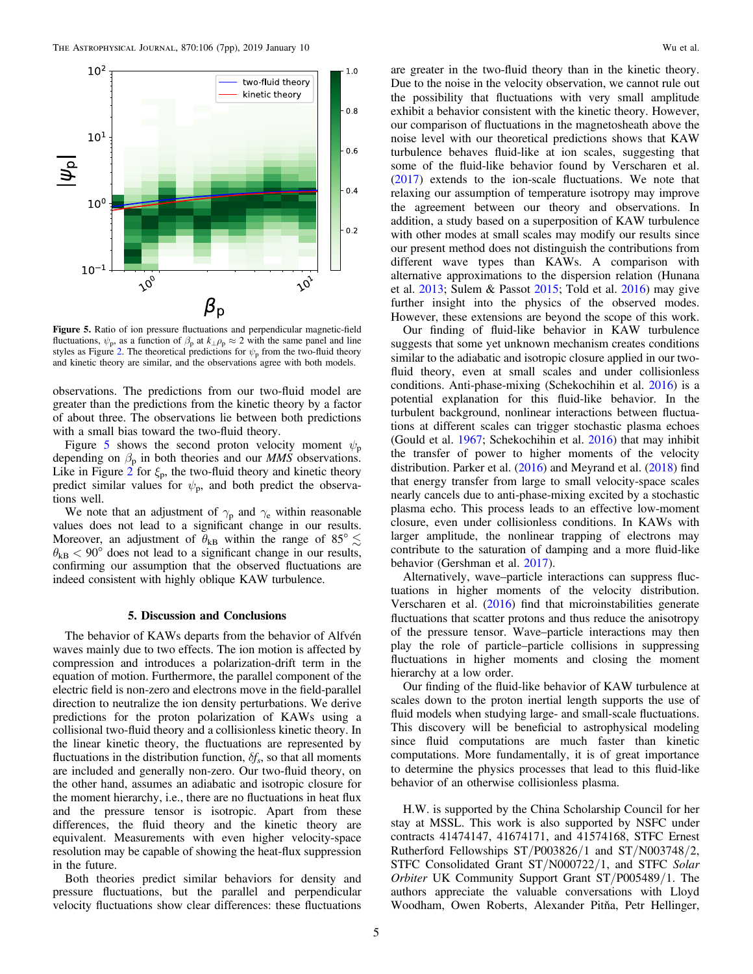<span id="page-4-0"></span>

Figure 5. Ratio of ion pressure fluctuations and perpendicular magnetic-field fluctuations,  $\psi_p$ , as a function of  $\beta_p$  at  $k_\perp \rho_p \approx 2$  with the same panel and line styles as Figure [2](#page-3-0). The theoretical predictions for  $\psi_p$  from the two-fluid theory and kinetic theory are similar, and the observations agree with both models.

observations. The predictions from our two-fluid model are greater than the predictions from the kinetic theory by a factor of about three. The observations lie between both predictions with a small bias toward the two-fluid theory.

Figure 5 shows the second proton velocity moment  $\psi_p$ depending on  $\beta_p$  in both theories and our *MMS* observations. Like in Figure [2](#page-3-0) for  $\xi_p$ , the two-fluid theory and kinetic theory predict similar values for  $\psi_p$ , and both predict the observations well.

We note that an adjustment of  $\gamma_p$  and  $\gamma_e$  within reasonable values does not lead to a significant change in our results. Moreover, an adjustment of  $\theta_{kB}$  within the range of 85°  $\lesssim$  $\theta_{kB}$  < 90° does not lead to a significant change in our results, confirming our assumption that the observed fluctuations are indeed consistent with highly oblique KAW turbulence.

## 5. Discussion and Conclusions

The behavior of KAWs departs from the behavior of Alfvén waves mainly due to two effects. The ion motion is affected by compression and introduces a polarization-drift term in the equation of motion. Furthermore, the parallel component of the electric field is non-zero and electrons move in the field-parallel direction to neutralize the ion density perturbations. We derive predictions for the proton polarization of KAWs using a collisional two-fluid theory and a collisionless kinetic theory. In the linear kinetic theory, the fluctuations are represented by fluctuations in the distribution function,  $\delta f_s$ , so that all moments are included and generally non-zero. Our two-fluid theory, on the other hand, assumes an adiabatic and isotropic closure for the moment hierarchy, i.e., there are no fluctuations in heat flux and the pressure tensor is isotropic. Apart from these differences, the fluid theory and the kinetic theory are equivalent. Measurements with even higher velocity-space resolution may be capable of showing the heat-flux suppression in the future.

Both theories predict similar behaviors for density and pressure fluctuations, but the parallel and perpendicular velocity fluctuations show clear differences: these fluctuations

are greater in the two-fluid theory than in the kinetic theory. Due to the noise in the velocity observation, we cannot rule out the possibility that fluctuations with very small amplitude exhibit a behavior consistent with the kinetic theory. However, our comparison of fluctuations in the magnetosheath above the noise level with our theoretical predictions shows that KAW turbulence behaves fluid-like at ion scales, suggesting that some of the fluid-like behavior found by Verscharen et al. ([2017](#page-6-0)) extends to the ion-scale fluctuations. We note that relaxing our assumption of temperature isotropy may improve the agreement between our theory and observations. In addition, a study based on a superposition of KAW turbulence with other modes at small scales may modify our results since our present method does not distinguish the contributions from different wave types than KAWs. A comparison with alternative approximations to the dispersion relation (Hunana et al. [2013;](#page-6-0) Sulem & Passot [2015;](#page-6-0) Told et al. [2016](#page-6-0)) may give further insight into the physics of the observed modes. However, these extensions are beyond the scope of this work.

Our finding of fluid-like behavior in KAW turbulence suggests that some yet unknown mechanism creates conditions similar to the adiabatic and isotropic closure applied in our twofluid theory, even at small scales and under collisionless conditions. Anti-phase-mixing (Schekochihin et al. [2016](#page-6-0)) is a potential explanation for this fluid-like behavior. In the turbulent background, nonlinear interactions between fluctuations at different scales can trigger stochastic plasma echoes (Gould et al. [1967](#page-6-0); Schekochihin et al. [2016](#page-6-0)) that may inhibit the transfer of power to higher moments of the velocity distribution. Parker et al. ([2016](#page-6-0)) and Meyrand et al. ([2018](#page-6-0)) find that energy transfer from large to small velocity-space scales nearly cancels due to anti-phase-mixing excited by a stochastic plasma echo. This process leads to an effective low-moment closure, even under collisionless conditions. In KAWs with larger amplitude, the nonlinear trapping of electrons may contribute to the saturation of damping and a more fluid-like behavior (Gershman et al. [2017](#page-6-0)).

Alternatively, wave–particle interactions can suppress fluctuations in higher moments of the velocity distribution. Verscharen et al. ([2016](#page-6-0)) find that microinstabilities generate fluctuations that scatter protons and thus reduce the anisotropy of the pressure tensor. Wave–particle interactions may then play the role of particle–particle collisions in suppressing fluctuations in higher moments and closing the moment hierarchy at a low order.

Our finding of the fluid-like behavior of KAW turbulence at scales down to the proton inertial length supports the use of fluid models when studying large- and small-scale fluctuations. This discovery will be beneficial to astrophysical modeling since fluid computations are much faster than kinetic computations. More fundamentally, it is of great importance to determine the physics processes that lead to this fluid-like behavior of an otherwise collisionless plasma.

H.W. is supported by the China Scholarship Council for her stay at MSSL. This work is also supported by NSFC under contracts 41474147, 41674171, and 41574168, STFC Ernest Rutherford Fellowships ST/P003826/1 and ST/N003748/2, STFC Consolidated Grant ST/N000722/1, and STFC Solar Orbiter UK Community Support Grant ST/P005489/1. The authors appreciate the valuable conversations with Lloyd Woodham, Owen Roberts, Alexander Pitňa, Petr Hellinger,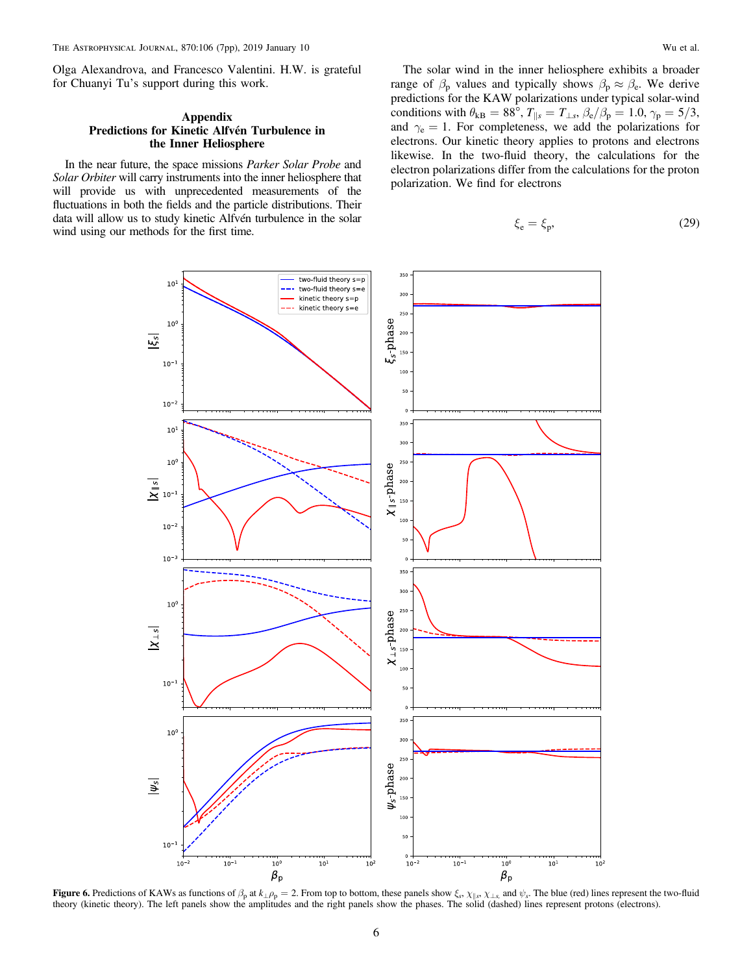<span id="page-5-0"></span>Olga Alexandrova, and Francesco Valentini. H.W. is grateful for Chuanyi Tu's support during this work.

## Appendix Predictions for Kinetic Alfvén Turbulence in the Inner Heliosphere

In the near future, the space missions Parker Solar Probe and Solar Orbiter will carry instruments into the inner heliosphere that will provide us with unprecedented measurements of the fluctuations in both the fields and the particle distributions. Their data will allow us to study kinetic Alfvén turbulence in the solar wind using our methods for the first time.

The solar wind in the inner heliosphere exhibits a broader range of  $\beta_p$  values and typically shows  $\beta_p \approx \beta_e$ . We derive predictions for the KAW polarizations under typical solar-wind conditions with  $\theta_{kB} = 88^\circ$ ,  $T_{\parallel s} = T_{\perp s}$ ,  $\beta_e/\beta_p = 1.0$ ,  $\gamma_p = 5/3$ , and  $\gamma_e = 1$ . For completeness, we add the polarizations for electrons. Our kinetic theory applies to protons and electrons likewise. In the two-fluid theory, the calculations for the electron polarizations differ from the calculations for the proton polarization. We find for electrons

$$
\xi_{\rm e} = \xi_{\rm p},\tag{29}
$$



Figure 6. Predictions of KAWs as functions of  $\beta_p$  at  $k_\perp \rho_p = 2$ . From top to bottom, these panels show  $\xi$ ,  $\chi_{\parallel s}$ ,  $\chi_{\perp s}$ , and  $\psi_s$ . The blue (red) lines represent the two-fluid theory (kinetic theory). The left panels show the amplitudes and the right panels show the phases. The solid (dashed) lines represent protons (electrons).